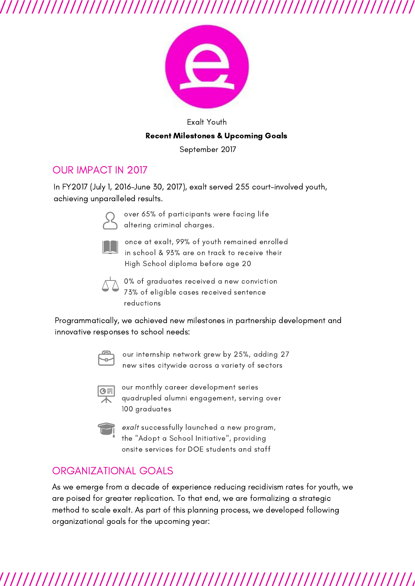

### Exalt Youth Recent Milestones & Upcoming Goals

September 2017

### OUR IMPACT IN 2017

In FY2017 (July 1, 2016-June 30, 2017), exalt served 255 court-involved youth, achieving unparalleled results.



over 65% of participants were facing life altering criminal charges.



once at exalt, 99% of youth remained enrolled in school & 93% are on track to receive their High School diploma before age 20



0% of graduates received a new conviction 73% of eligible cases received sentence reductions

Programmatically, we achieved new milestones in partnership development and innovative responses to school needs:



our internship network grew by 25%, adding 27 new sites citywide across a variety of sectors



our monthly career development series quadrupled alumni engagement, serving over 100 graduates



exalt successfully launched a new program, the "Adopt a School Initiative", providing onsite services for DOE students and staff

## ORGANIZATIONAL GOALS

As we emerge from a decade of experience reducing recidivism rates for youth, we are poised for greater replication. To that end, we are formalizing a strategic method to scale exalt. As part of this planning process, we developed following organizational goals for the upcoming year: